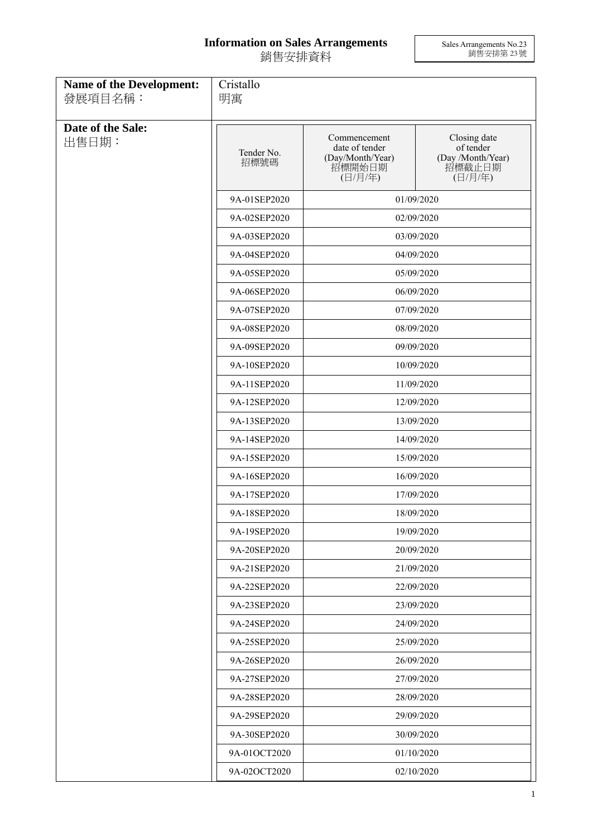## **Information on Sales Arrangements** 銷售安排資料

Sales Arrangements No.23 銷售安排第 23 號

| <b>Name of the Development:</b><br>發展項目名稱: | Cristallo<br>明寓    |                                                                         |                                                                     |  |
|--------------------------------------------|--------------------|-------------------------------------------------------------------------|---------------------------------------------------------------------|--|
| Date of the Sale:<br>出售日期:                 | Tender No.<br>招標號碼 | Commencement<br>date of tender<br>(Day/Month/Year)<br>招標開始日期<br>(日/月/年) | Closing date<br>of tender<br>(Day /Month/Year)<br>招標截止日期<br>(日/月/年) |  |
|                                            | 9A-01SEP2020       |                                                                         | 01/09/2020                                                          |  |
|                                            | 9A-02SEP2020       |                                                                         | 02/09/2020                                                          |  |
|                                            | 9A-03SEP2020       | 03/09/2020                                                              |                                                                     |  |
|                                            | 9A-04SEP2020       |                                                                         | 04/09/2020                                                          |  |
|                                            | 9A-05SEP2020       |                                                                         | 05/09/2020                                                          |  |
|                                            | 9A-06SEP2020       |                                                                         | 06/09/2020                                                          |  |
|                                            | 9A-07SEP2020       |                                                                         | 07/09/2020                                                          |  |
|                                            | 9A-08SEP2020       |                                                                         | 08/09/2020                                                          |  |
|                                            | 9A-09SEP2020       |                                                                         | 09/09/2020                                                          |  |
|                                            | 9A-10SEP2020       |                                                                         | 10/09/2020                                                          |  |
|                                            | 9A-11SEP2020       | 11/09/2020                                                              |                                                                     |  |
|                                            | 9A-12SEP2020       | 12/09/2020                                                              |                                                                     |  |
|                                            | 9A-13SEP2020       |                                                                         | 13/09/2020                                                          |  |
|                                            | 9A-14SEP2020       |                                                                         | 14/09/2020                                                          |  |
|                                            | 9A-15SEP2020       |                                                                         | 15/09/2020                                                          |  |
|                                            | 9A-16SEP2020       |                                                                         | 16/09/2020                                                          |  |
|                                            | 9A-17SEP2020       |                                                                         | 17/09/2020                                                          |  |
|                                            | 9A-18SEP2020       |                                                                         | 18/09/2020                                                          |  |
|                                            | 9A-19SEP2020       | 19/09/2020                                                              |                                                                     |  |
|                                            | 9A-20SEP2020       | 20/09/2020                                                              |                                                                     |  |
|                                            | 9A-21SEP2020       |                                                                         | 21/09/2020                                                          |  |
|                                            | 9A-22SEP2020       |                                                                         | 22/09/2020                                                          |  |
|                                            | 9A-23SEP2020       |                                                                         | 23/09/2020                                                          |  |
|                                            | 9A-24SEP2020       |                                                                         | 24/09/2020                                                          |  |
|                                            | 9A-25SEP2020       |                                                                         | 25/09/2020                                                          |  |
|                                            | 9A-26SEP2020       |                                                                         | 26/09/2020                                                          |  |
|                                            | 9A-27SEP2020       |                                                                         | 27/09/2020                                                          |  |
|                                            | 9A-28SEP2020       | 28/09/2020                                                              |                                                                     |  |
|                                            | 9A-29SEP2020       |                                                                         | 29/09/2020                                                          |  |
|                                            | 9A-30SEP2020       |                                                                         | 30/09/2020                                                          |  |
|                                            | 9A-01OCT2020       |                                                                         | 01/10/2020                                                          |  |
|                                            | 9A-02OCT2020       |                                                                         | 02/10/2020                                                          |  |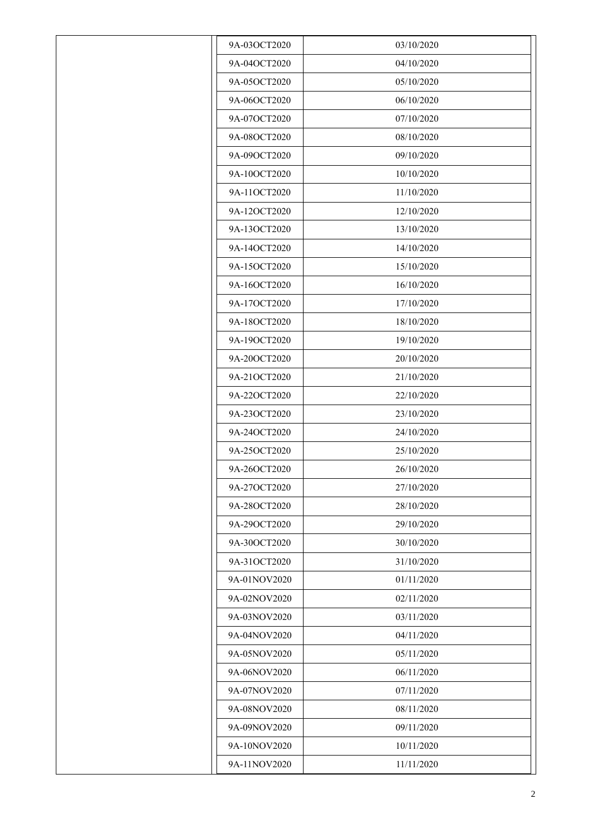| 9A-03OCT2020 | 03/10/2020 |
|--------------|------------|
| 9A-04OCT2020 | 04/10/2020 |
| 9A-05OCT2020 | 05/10/2020 |
| 9A-06OCT2020 | 06/10/2020 |
| 9A-07OCT2020 | 07/10/2020 |
| 9A-08OCT2020 | 08/10/2020 |
| 9A-09OCT2020 | 09/10/2020 |
| 9A-10OCT2020 | 10/10/2020 |
| 9A-11OCT2020 | 11/10/2020 |
| 9A-12OCT2020 | 12/10/2020 |
| 9A-13OCT2020 | 13/10/2020 |
| 9A-14OCT2020 | 14/10/2020 |
| 9A-15OCT2020 | 15/10/2020 |
| 9A-16OCT2020 | 16/10/2020 |
| 9A-17OCT2020 | 17/10/2020 |
| 9A-18OCT2020 | 18/10/2020 |
| 9A-19OCT2020 | 19/10/2020 |
| 9A-20OCT2020 | 20/10/2020 |
| 9A-21OCT2020 | 21/10/2020 |
| 9A-22OCT2020 | 22/10/2020 |
| 9A-23OCT2020 | 23/10/2020 |
| 9A-24OCT2020 | 24/10/2020 |
| 9A-25OCT2020 | 25/10/2020 |
| 9A-26OCT2020 | 26/10/2020 |
| 9A-27OCT2020 | 27/10/2020 |
| 9A-28OCT2020 | 28/10/2020 |
| 9A-29OCT2020 | 29/10/2020 |
| 9A-30OCT2020 | 30/10/2020 |
| 9A-31OCT2020 | 31/10/2020 |
| 9A-01NOV2020 | 01/11/2020 |
| 9A-02NOV2020 | 02/11/2020 |
| 9A-03NOV2020 | 03/11/2020 |
| 9A-04NOV2020 | 04/11/2020 |
| 9A-05NOV2020 | 05/11/2020 |
| 9A-06NOV2020 | 06/11/2020 |
| 9A-07NOV2020 | 07/11/2020 |
| 9A-08NOV2020 | 08/11/2020 |
| 9A-09NOV2020 | 09/11/2020 |
| 9A-10NOV2020 | 10/11/2020 |
| 9A-11NOV2020 | 11/11/2020 |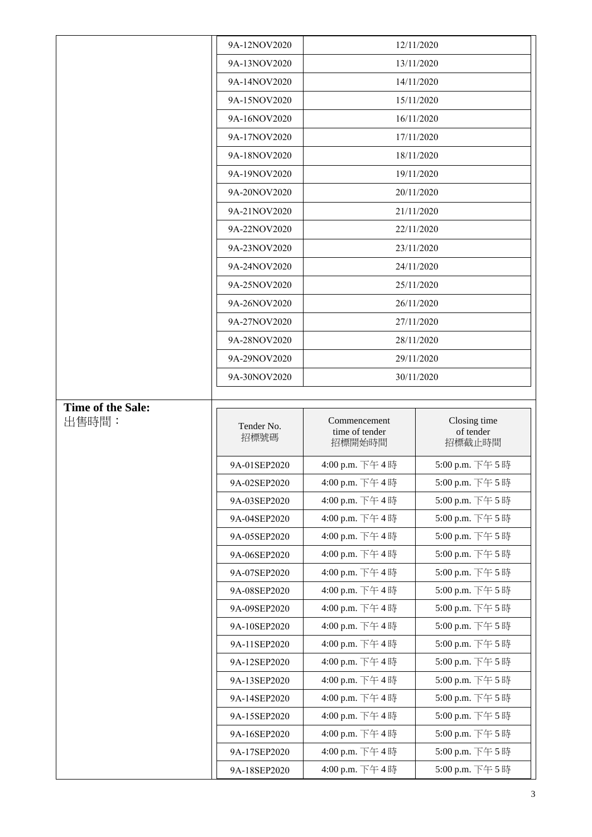|                   | 9A-12NOV2020                 |                                          | 12/11/2020                          |
|-------------------|------------------------------|------------------------------------------|-------------------------------------|
|                   | 9A-13NOV2020                 |                                          | 13/11/2020                          |
|                   | 9A-14NOV2020                 |                                          | 14/11/2020                          |
|                   | 9A-15NOV2020                 |                                          | 15/11/2020                          |
|                   | 9A-16NOV2020                 |                                          | 16/11/2020                          |
|                   | 9A-17NOV2020                 |                                          | 17/11/2020                          |
|                   | 9A-18NOV2020                 |                                          | 18/11/2020                          |
|                   | 9A-19NOV2020                 |                                          | 19/11/2020                          |
|                   | 9A-20NOV2020                 |                                          | 20/11/2020                          |
|                   | 9A-21NOV2020                 |                                          | 21/11/2020                          |
|                   | 9A-22NOV2020                 |                                          | 22/11/2020                          |
|                   | 9A-23NOV2020                 |                                          | 23/11/2020                          |
|                   | 9A-24NOV2020                 |                                          | 24/11/2020                          |
|                   | 9A-25NOV2020                 |                                          | 25/11/2020                          |
|                   | 9A-26NOV2020                 |                                          | 26/11/2020                          |
|                   | 9A-27NOV2020                 |                                          | 27/11/2020                          |
|                   | 9A-28NOV2020                 |                                          | 28/11/2020                          |
|                   | 9A-29NOV2020                 |                                          | 29/11/2020                          |
|                   | 9A-30NOV2020                 | 30/11/2020                               |                                     |
|                   |                              |                                          |                                     |
| Time of the Sale: |                              |                                          |                                     |
| 出售時間:             | Tender No.<br>招標號碼           | Commencement<br>time of tender<br>招標開始時間 | Closing time<br>of tender<br>招標截止時間 |
|                   |                              |                                          |                                     |
|                   | 9A-01SEP2020                 | 4:00 p.m. 下午4時                           | 5:00 p.m. 下午5時                      |
|                   | 9A-02SEP2020                 | 4:00 p.m. 下午4時                           | 5:00 p.m. 下午5時                      |
|                   | 9A-03SEP2020                 | 4:00 p.m. 下午4時<br>4:00 p.m. 下午4時         | 5:00 p.m. 下午5時<br>5:00 p.m. 下午5時    |
|                   | 9A-04SEP2020<br>9A-05SEP2020 | 4:00 p.m. 下午4時                           | 5:00 p.m. 下午5時                      |
|                   | 9A-06SEP2020                 | 4:00 p.m. 下午4時                           | 5:00 p.m. 下午5時                      |
|                   | 9A-07SEP2020                 | 4:00 p.m. 下午4時                           | 5:00 p.m. 下午5時                      |
|                   | 9A-08SEP2020                 | 4:00 p.m. 下午4時                           | 5:00 p.m. 下午5時                      |
|                   | 9A-09SEP2020                 | 4:00 p.m. 下午4時                           | 5:00 p.m. 下午5時                      |
|                   | 9A-10SEP2020                 | 4:00 p.m. 下午4時                           | 5:00 p.m. 下午5時                      |
|                   | 9A-11SEP2020                 | 4:00 p.m. 下午4時                           | 5:00 p.m. 下午5時                      |
|                   | 9A-12SEP2020                 | 4:00 p.m. 下午4時                           | 5:00 p.m. 下午5時                      |
|                   | 9A-13SEP2020                 | 4:00 p.m. 下午4時                           | 5:00 p.m. 下午5時                      |
|                   | 9A-14SEP2020                 | 4:00 p.m. 下午4時                           | 5:00 p.m. 下午5時                      |
|                   | 9A-15SEP2020                 | 4:00 p.m. 下午4時                           | 5:00 p.m. 下午5時                      |
|                   | 9A-16SEP2020                 | 4:00 p.m. 下午4時                           | 5:00 p.m. 下午5時                      |
|                   | 9A-17SEP2020                 | 4:00 p.m. 下午4時                           | 5:00 p.m. 下午5時                      |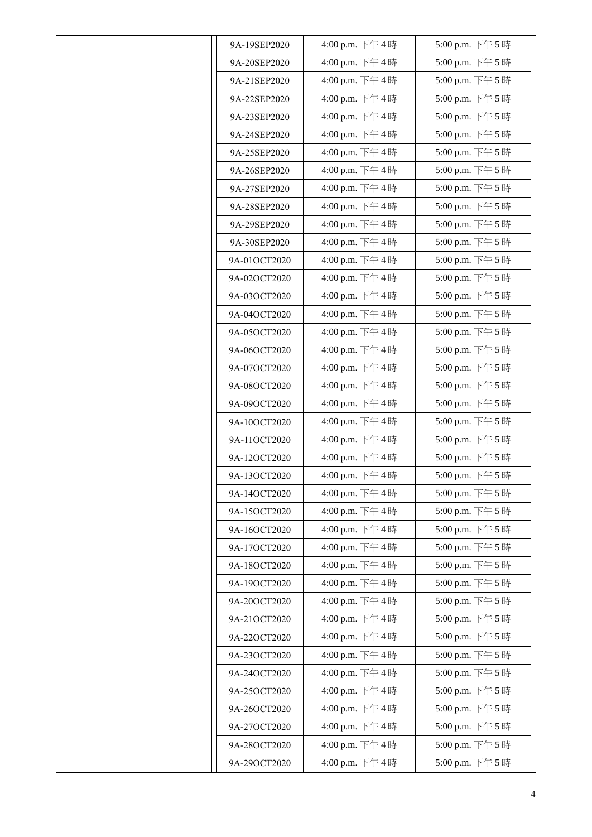| 9A-19SEP2020 | 4:00 p.m. 下午4時 | 5:00 p.m. 下午5時 |
|--------------|----------------|----------------|
| 9A-20SEP2020 | 4:00 p.m. 下午4時 | 5:00 p.m. 下午5時 |
| 9A-21SEP2020 | 4:00 p.m. 下午4時 | 5:00 p.m. 下午5時 |
| 9A-22SEP2020 | 4:00 p.m. 下午4時 | 5:00 p.m. 下午5時 |
| 9A-23SEP2020 | 4:00 p.m. 下午4時 | 5:00 p.m. 下午5時 |
| 9A-24SEP2020 | 4:00 p.m. 下午4時 | 5:00 p.m. 下午5時 |
| 9A-25SEP2020 | 4:00 p.m. 下午4時 | 5:00 p.m. 下午5時 |
| 9A-26SEP2020 | 4:00 p.m. 下午4時 | 5:00 p.m. 下午5時 |
| 9A-27SEP2020 | 4:00 p.m. 下午4時 | 5:00 p.m. 下午5時 |
| 9A-28SEP2020 | 4:00 p.m. 下午4時 | 5:00 p.m. 下午5時 |
| 9A-29SEP2020 | 4:00 p.m. 下午4時 | 5:00 p.m. 下午5時 |
| 9A-30SEP2020 | 4:00 p.m. 下午4時 | 5:00 p.m. 下午5時 |
| 9A-01OCT2020 | 4:00 p.m. 下午4時 | 5:00 p.m. 下午5時 |
| 9A-02OCT2020 | 4:00 p.m. 下午4時 | 5:00 p.m. 下午5時 |
| 9A-03OCT2020 | 4:00 p.m. 下午4時 | 5:00 p.m. 下午5時 |
| 9A-04OCT2020 | 4:00 p.m. 下午4時 | 5:00 p.m. 下午5時 |
| 9A-05OCT2020 | 4:00 p.m. 下午4時 | 5:00 p.m. 下午5時 |
| 9A-06OCT2020 | 4:00 p.m. 下午4時 | 5:00 p.m. 下午5時 |
| 9A-07OCT2020 | 4:00 p.m. 下午4時 | 5:00 p.m. 下午5時 |
| 9A-08OCT2020 | 4:00 p.m. 下午4時 | 5:00 p.m. 下午5時 |
| 9A-09OCT2020 | 4:00 p.m. 下午4時 | 5:00 p.m. 下午5時 |
| 9A-10OCT2020 | 4:00 p.m. 下午4時 | 5:00 p.m. 下午5時 |
| 9A-11OCT2020 | 4:00 p.m. 下午4時 | 5:00 p.m. 下午5時 |
| 9A-12OCT2020 | 4:00 p.m. 下午4時 | 5:00 p.m. 下午5時 |
| 9A-13OCT2020 | 4:00 p.m. 下午4時 | 5:00 p.m. 下午5時 |
| 9A-14OCT2020 | 4:00 p.m. 下午4時 | 5:00 p.m. 下午5時 |
| 9A-15OCT2020 | 4:00 p.m. 下午4時 | 5:00 p.m. 下午5時 |
| 9A-16OCT2020 | 4:00 p.m. 下午4時 | 5:00 p.m. 下午5時 |
| 9A-17OCT2020 | 4:00 p.m. 下午4時 | 5:00 p.m. 下午5時 |
| 9A-18OCT2020 | 4:00 p.m. 下午4時 | 5:00 p.m. 下午5時 |
| 9A-19OCT2020 | 4:00 p.m. 下午4時 | 5:00 p.m. 下午5時 |
| 9A-20OCT2020 | 4:00 p.m. 下午4時 | 5:00 p.m. 下午5時 |
| 9A-21OCT2020 | 4:00 p.m. 下午4時 | 5:00 p.m. 下午5時 |
| 9A-22OCT2020 | 4:00 p.m. 下午4時 | 5:00 p.m. 下午5時 |
| 9A-23OCT2020 | 4:00 p.m. 下午4時 | 5:00 p.m. 下午5時 |
| 9A-24OCT2020 | 4:00 p.m. 下午4時 | 5:00 p.m. 下午5時 |
| 9A-25OCT2020 | 4:00 p.m. 下午4時 | 5:00 p.m. 下午5時 |
| 9A-26OCT2020 | 4:00 p.m. 下午4時 | 5:00 p.m. 下午5時 |
| 9A-27OCT2020 | 4:00 p.m. 下午4時 | 5:00 p.m. 下午5時 |
| 9A-28OCT2020 | 4:00 p.m. 下午4時 | 5:00 p.m. 下午5時 |
| 9A-29OCT2020 | 4:00 p.m. 下午4時 | 5:00 p.m. 下午5時 |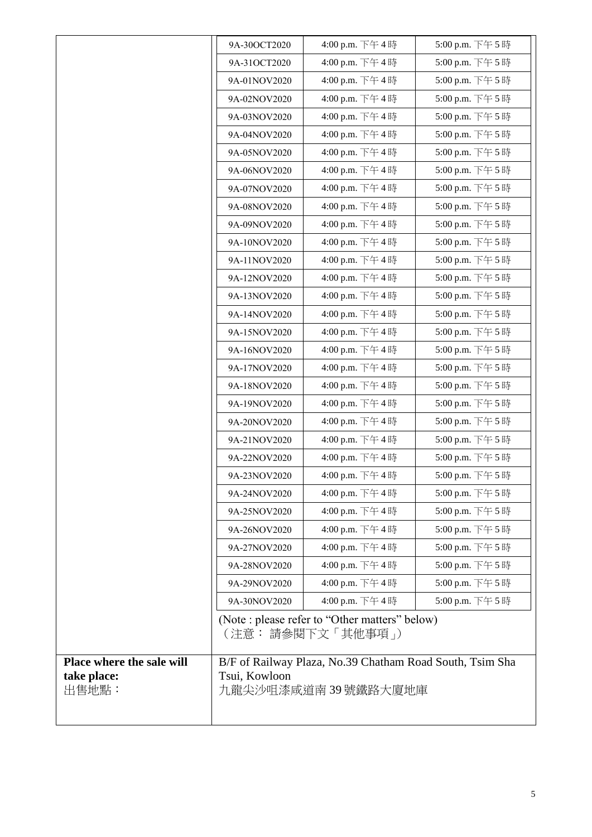|                           | 9A-30OCT2020         | 4:00 p.m. 下午4時                                                      | 5:00 p.m. 下午5時 |
|---------------------------|----------------------|---------------------------------------------------------------------|----------------|
|                           | 9A-31OCT2020         | 4:00 p.m. 下午4時                                                      | 5:00 p.m. 下午5時 |
|                           | 9A-01NOV2020         | 4:00 p.m. 下午4時                                                      | 5:00 p.m. 下午5時 |
|                           | 9A-02NOV2020         | 4:00 p.m. 下午4時                                                      | 5:00 p.m. 下午5時 |
|                           | 9A-03NOV2020         | 4:00 p.m. 下午4時                                                      | 5:00 p.m. 下午5時 |
|                           | 9A-04NOV2020         | 4:00 p.m. 下午4時                                                      | 5:00 p.m. 下午5時 |
|                           | 9A-05NOV2020         | 4:00 p.m. 下午4時                                                      | 5:00 p.m. 下午5時 |
|                           | 9A-06NOV2020         | 4:00 p.m. 下午4時                                                      | 5:00 p.m. 下午5時 |
|                           | 9A-07NOV2020         | 4:00 p.m. 下午4時                                                      | 5:00 p.m. 下午5時 |
|                           | 9A-08NOV2020         | 4:00 p.m. 下午4時                                                      | 5:00 p.m. 下午5時 |
|                           | 9A-09NOV2020         | 4:00 p.m. 下午4時                                                      | 5:00 p.m. 下午5時 |
|                           | 9A-10NOV2020         | 4:00 p.m. 下午4時                                                      | 5:00 p.m. 下午5時 |
|                           | 9A-11NOV2020         | 4:00 p.m. 下午4時                                                      | 5:00 p.m. 下午5時 |
|                           | 9A-12NOV2020         | 4:00 p.m. 下午4時                                                      | 5:00 p.m. 下午5時 |
|                           | 9A-13NOV2020         | 4:00 p.m. 下午4時                                                      | 5:00 p.m. 下午5時 |
|                           | 9A-14NOV2020         | 4:00 p.m. 下午4時                                                      | 5:00 p.m. 下午5時 |
|                           | 9A-15NOV2020         | 4:00 p.m. 下午4時                                                      | 5:00 p.m. 下午5時 |
|                           | 9A-16NOV2020         | 4:00 p.m. 下午4時                                                      | 5:00 p.m. 下午5時 |
|                           | 9A-17NOV2020         | 4:00 p.m. 下午4時                                                      | 5:00 p.m. 下午5時 |
|                           | 9A-18NOV2020         | 4:00 p.m. 下午4時                                                      | 5:00 p.m. 下午5時 |
|                           | 9A-19NOV2020         | 4:00 p.m. 下午4時                                                      | 5:00 p.m. 下午5時 |
|                           | 9A-20NOV2020         | 4:00 p.m. 下午4時                                                      | 5:00 p.m. 下午5時 |
|                           | 9A-21NOV2020         | 4:00 p.m. 下午4時                                                      | 5:00 p.m. 下午5時 |
|                           | 9A-22NOV2020         | 4:00 p.m. 下午4時                                                      | 5:00 p.m. 下午5時 |
|                           | 9A-23NOV2020         | 4:00 p.m. 下午4時                                                      | 5:00 p.m. 下午5時 |
|                           | 9A-24NOV2020         | 4:00 p.m. 下午4時                                                      | 5:00 p.m. 下午5時 |
|                           | 9A-25NOV2020         | 4:00 p.m. 下午4時                                                      | 5:00 p.m. 下午5時 |
|                           | 9A-26NOV2020         | 4:00 p.m. 下午4時                                                      | 5:00 p.m. 下午5時 |
|                           | 9A-27NOV2020         | 4:00 p.m. 下午4時                                                      | 5:00 p.m. 下午5時 |
|                           | 9A-28NOV2020         | 4:00 p.m. 下午4時                                                      | 5:00 p.m. 下午5時 |
|                           | 9A-29NOV2020         | 4:00 p.m. 下午4時                                                      | 5:00 p.m. 下午5時 |
|                           | 9A-30NOV2020         | 4:00 p.m. 下午4時                                                      | 5:00 p.m. 下午5時 |
|                           |                      | (Note : please refer to "Other matters" below)<br>(注意: 請參閱下文「其他事項」) |                |
| Place where the sale will |                      | B/F of Railway Plaza, No.39 Chatham Road South, Tsim Sha            |                |
| take place:<br>出售地點:      | Tsui, Kowloon        |                                                                     |                |
|                           | 九龍尖沙咀漆咸道南 39 號鐵路大廈地庫 |                                                                     |                |
|                           |                      |                                                                     |                |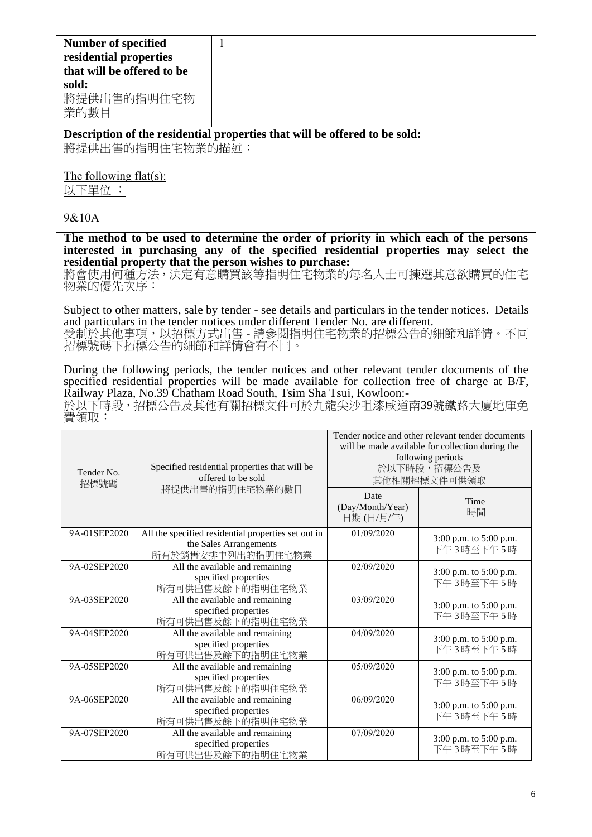| <b>Number of specified</b> |
|----------------------------|
| residential properties     |
| that will be offered to be |
| sold:                      |
| 將提供出售的指明住宅物                |
| 業的數目                       |
|                            |

**Description of the residential properties that will be offered to be sold:** 將提供出售的指明住宅物業的描述:

The following flat(s):

以下單位 :

## 9&10A

**The method to be used to determine the order of priority in which each of the persons interested in purchasing any of the specified residential properties may select the residential property that the person wishes to purchase:** 

將會使用何種方法,決定有意購買該等指明住宅物業的每名人士可揀選其意欲購買的住宅 物業的優先次序:

Subject to other matters, sale by tender - see details and particulars in the tender notices. Details and particulars in the tender notices under different Tender No. are different. 受制於其他事項,以招標方式出售 - 請參閱指明住宅物業的招標公告的細節和詳情。不同 招標號碼下招標公告的細節和詳情會有不同。

During the following periods, the tender notices and other relevant tender documents of the specified residential properties will be made available for collection free of charge at B/F, Railway Plaza, No.39 Chatham Road South, Tsim Sha Tsui, Kowloon:-

於以下時段,招標公告及其他有關招標文件可於九龍尖沙咀漆咸道南39號鐵路大廈地庫免 費領取:

| Tender No.<br>招標號碼 | Specified residential properties that will be<br>offered to be sold                                | Tender notice and other relevant tender documents<br>will be made available for collection during the<br>following periods<br>於以下時段,招標公告及<br>其他相關招標文件可供領取 |                                     |
|--------------------|----------------------------------------------------------------------------------------------------|-----------------------------------------------------------------------------------------------------------------------------------------------------------|-------------------------------------|
|                    | 將提供出售的指明住宅物業的數目                                                                                    | Date<br>(Day/Month/Year)<br>日期(日/月/年)                                                                                                                     | Time<br>時間                          |
| 9A-01SEP2020       | All the specified residential properties set out in<br>the Sales Arrangements<br>所有於銷售安排中列出的指明住宅物業 | 01/09/2020                                                                                                                                                | 3:00 p.m. to 5:00 p.m.<br>下午3時至下午5時 |
| 9A-02SEP2020       | All the available and remaining<br>specified properties<br>所有可供出售及餘下的指明住宅物業                        | 02/09/2020                                                                                                                                                | 3:00 p.m. to 5:00 p.m.<br>下午3時至下午5時 |
| 9A-03SEP2020       | All the available and remaining<br>specified properties<br>所有可供出售及餘下的指明住宅物業                        | 03/09/2020                                                                                                                                                | 3:00 p.m. to 5:00 p.m.<br>下午3時至下午5時 |
| 9A-04SEP2020       | All the available and remaining<br>specified properties<br>所有可供出售及餘下的指明住宅物業                        | 04/09/2020                                                                                                                                                | 3:00 p.m. to 5:00 p.m.<br>下午3時至下午5時 |
| 9A-05SEP2020       | All the available and remaining<br>specified properties<br>所有可供出售及餘下的指明住宅物業                        | 05/09/2020                                                                                                                                                | 3:00 p.m. to 5:00 p.m.<br>下午3時至下午5時 |
| 9A-06SEP2020       | All the available and remaining<br>specified properties<br>所有可供出售及餘下的指明住宅物業                        | 06/09/2020                                                                                                                                                | 3:00 p.m. to 5:00 p.m.<br>下午3時至下午5時 |
| 9A-07SEP2020       | All the available and remaining<br>specified properties<br>所有可供出售及餘下的指明住宅物業                        | 07/09/2020                                                                                                                                                | 3:00 p.m. to 5:00 p.m.<br>下午3時至下午5時 |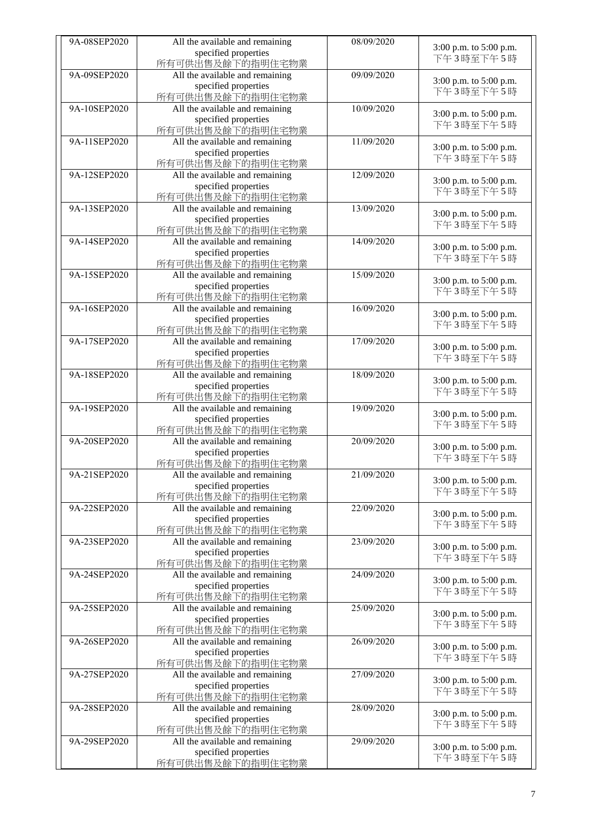| 9A-08SEP2020 | All the available and remaining                         | 08/09/2020 |                                     |
|--------------|---------------------------------------------------------|------------|-------------------------------------|
|              | specified properties                                    |            | 3:00 p.m. to 5:00 p.m.<br>下午3時至下午5時 |
|              | 所有可供出售及餘下的指明住宅物業                                        |            |                                     |
| 9A-09SEP2020 | All the available and remaining                         | 09/09/2020 | 3:00 p.m. to 5:00 p.m.              |
|              | specified properties                                    |            | 下午3時至下午5時                           |
|              | 所有可供出售及餘下的指明住宅物業                                        |            |                                     |
| 9A-10SEP2020 | All the available and remaining                         | 10/09/2020 | 3:00 p.m. to 5:00 p.m.              |
|              | specified properties                                    |            | 下午3時至下午5時                           |
| 9A-11SEP2020 | 所有可供出售及餘下的指明住宅物業<br>All the available and remaining     | 11/09/2020 |                                     |
|              | specified properties                                    |            | 3:00 p.m. to 5:00 p.m.              |
|              | 所有可供出售及餘下的指明住宅物業                                        |            | 下午3時至下午5時                           |
| 9A-12SEP2020 | All the available and remaining                         | 12/09/2020 |                                     |
|              | specified properties                                    |            | 3:00 p.m. to 5:00 p.m.              |
|              | 所有可供出售及餘下的指明住宅物業                                        |            | 下午3時至下午5時                           |
| 9A-13SEP2020 | All the available and remaining                         | 13/09/2020 |                                     |
|              | specified properties                                    |            | 3:00 p.m. to 5:00 p.m.<br>下午3時至下午5時 |
|              | 所有可供出售及餘下的指明住宅物業                                        |            |                                     |
| 9A-14SEP2020 | All the available and remaining                         | 14/09/2020 | 3:00 p.m. to 5:00 p.m.              |
|              | specified properties                                    |            | 下午3時至下午5時                           |
|              | 所有可供出售及餘下的指明住宅物業                                        |            |                                     |
| 9A-15SEP2020 | All the available and remaining                         | 15/09/2020 | 3:00 p.m. to 5:00 p.m.              |
|              | specified properties                                    |            | 下午3時至下午5時                           |
|              | 所有可供出售及餘下的指明住宅物業                                        |            |                                     |
| 9A-16SEP2020 | All the available and remaining                         | 16/09/2020 | 3:00 p.m. to 5:00 p.m.              |
|              | specified properties<br>所有可供出售及餘下的指明住宅物業                |            | 下午3時至下午5時                           |
| 9A-17SEP2020 | All the available and remaining                         | 17/09/2020 |                                     |
|              | specified properties                                    |            | 3:00 p.m. to 5:00 p.m.              |
|              | 所有可供出售及餘下的指明住宅物業                                        |            | 下午3時至下午5時                           |
| 9A-18SEP2020 | All the available and remaining                         | 18/09/2020 |                                     |
|              | specified properties                                    |            | 3:00 p.m. to 5:00 p.m.              |
|              | 所有可供出售及餘下的指明住宅物業                                        |            | 下午3時至下午5時                           |
| 9A-19SEP2020 | All the available and remaining                         | 19/09/2020 |                                     |
|              | specified properties                                    |            | 3:00 p.m. to 5:00 p.m.<br>下午3時至下午5時 |
|              | 所有可供出售及餘下的指明住宅物業                                        |            |                                     |
| 9A-20SEP2020 | All the available and remaining                         | 20/09/2020 | 3:00 p.m. to 5:00 p.m.              |
|              | specified properties                                    |            | 下午3時至下午5時                           |
|              | 所有可供出售及餘下的指明住宅物業                                        |            |                                     |
| 9A-21SEP2020 | All the available and remaining<br>specified properties | 21/09/2020 | 3:00 p.m. to 5:00 p.m.              |
|              | 所有可供出售及餘下的指明住宅物業                                        |            | 下午3時至下午5時                           |
| 9A-22SEP2020 | All the available and remaining                         | 22/09/2020 |                                     |
|              | specified properties                                    |            | 3:00 p.m. to 5:00 p.m.              |
|              | 所有可供出售及餘下的指明住宅物業                                        |            | 下午3時至下午5時                           |
| 9A-23SEP2020 | All the available and remaining                         | 23/09/2020 |                                     |
|              | specified properties                                    |            | 3:00 p.m. to 5:00 p.m.              |
|              | 所有可供出售及餘下的指明住宅物業                                        |            | 下午3時至下午5時                           |
| 9A-24SEP2020 | All the available and remaining                         | 24/09/2020 | 3:00 p.m. to 5:00 p.m.              |
|              | specified properties                                    |            | 下午3時至下午5時                           |
|              | 所有可供出售及餘下的指明住宅物業                                        |            |                                     |
| 9A-25SEP2020 | All the available and remaining                         | 25/09/2020 | 3:00 p.m. to 5:00 p.m.              |
|              | specified properties                                    |            | 下午3時至下午5時                           |
|              | 所有可供出售及餘下的指明住宅物業                                        |            |                                     |
| 9A-26SEP2020 | All the available and remaining                         | 26/09/2020 | 3:00 p.m. to 5:00 p.m.              |
|              | specified properties<br>所有可供出售及餘下的指明住宅物業                |            | 下午3時至下午5時                           |
| 9A-27SEP2020 | All the available and remaining                         | 27/09/2020 |                                     |
|              | specified properties                                    |            | 3:00 p.m. to 5:00 p.m.              |
|              | 所有可供出售及餘下的指明住宅物業                                        |            | 下午3時至下午5時                           |
| 9A-28SEP2020 | All the available and remaining                         | 28/09/2020 |                                     |
|              | specified properties                                    |            | 3:00 p.m. to 5:00 p.m.              |
|              | 所有可供出售及餘下的指明住宅物業                                        |            | 下午3時至下午5時                           |
| 9A-29SEP2020 | All the available and remaining                         | 29/09/2020 | 3:00 p.m. to 5:00 p.m.              |
|              | specified properties                                    |            | 下午3時至下午5時                           |
|              | 所有可供出售及餘下的指明住宅物業                                        |            |                                     |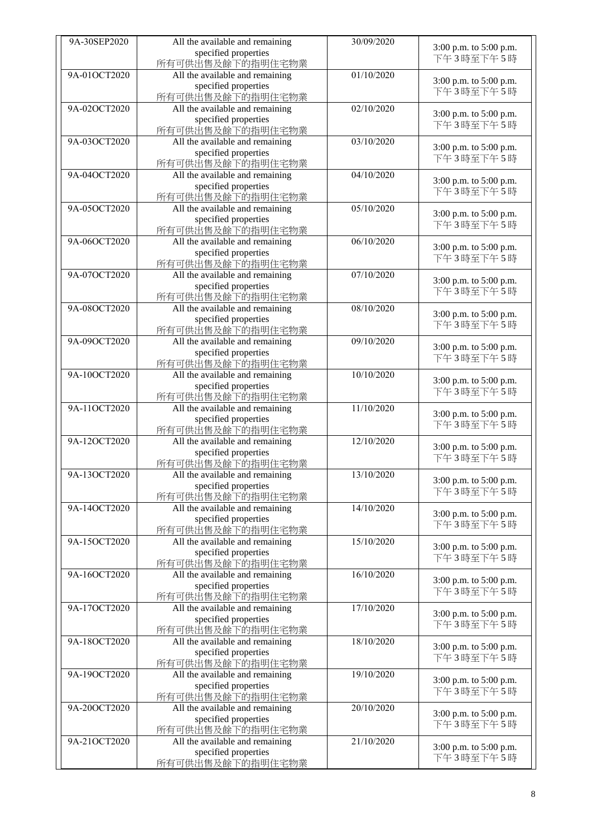| 9A-30SEP2020 | All the available and remaining                         | 30/09/2020 |                                     |
|--------------|---------------------------------------------------------|------------|-------------------------------------|
|              | specified properties                                    |            | 3:00 p.m. to 5:00 p.m.              |
|              | 所有可供出售及餘下的指明住宅物業                                        |            | 下午3時至下午5時                           |
| 9A-01OCT2020 | All the available and remaining                         | 01/10/2020 |                                     |
|              | specified properties                                    |            | 3:00 p.m. to 5:00 p.m.              |
|              | 所有可供出售及餘下的指明住宅物業                                        |            | 下午3時至下午5時                           |
| 9A-02OCT2020 | All the available and remaining                         | 02/10/2020 |                                     |
|              | specified properties                                    |            | 3:00 p.m. to 5:00 p.m.              |
|              | 所有可供出售及餘下的指明住宅物業                                        |            | 下午3時至下午5時                           |
| 9A-03OCT2020 | All the available and remaining                         | 03/10/2020 |                                     |
|              | specified properties                                    |            | 3:00 p.m. to 5:00 p.m.              |
|              | 所有可供出售及餘下的指明住宅物業                                        |            | 下午3時至下午5時                           |
| 9A-04OCT2020 | All the available and remaining                         | 04/10/2020 |                                     |
|              | specified properties                                    |            | 3:00 p.m. to 5:00 p.m.              |
|              | 所有可供出售及餘下的指明住宅物業                                        |            | 下午3時至下午5時                           |
| 9A-05OCT2020 |                                                         | 05/10/2020 |                                     |
|              | All the available and remaining                         |            | 3:00 p.m. to 5:00 p.m.              |
|              | specified properties                                    |            | 下午3時至下午5時                           |
|              | 所有可供出售及餘下的指明住宅物業                                        |            |                                     |
| 9A-06OCT2020 | All the available and remaining                         | 06/10/2020 | 3:00 p.m. to 5:00 p.m.              |
|              | specified properties                                    |            | 下午3時至下午5時                           |
|              | 所有可供出售及餘下的指明住宅物業                                        |            |                                     |
| 9A-07OCT2020 | All the available and remaining                         | 07/10/2020 | 3:00 p.m. to 5:00 p.m.              |
|              | specified properties                                    |            | 下午3時至下午5時                           |
|              | 所有可供出售及餘下的指明住宅物業                                        |            |                                     |
| 9A-08OCT2020 | All the available and remaining                         | 08/10/2020 | 3:00 p.m. to 5:00 p.m.              |
|              | specified properties                                    |            | 下午3時至下午5時                           |
|              | 所有可供出售及餘下的指明住宅物業                                        |            |                                     |
| 9A-09OCT2020 | All the available and remaining                         | 09/10/2020 | 3:00 p.m. to 5:00 p.m.              |
|              | specified properties                                    |            | 下午3時至下午5時                           |
|              | 所有可供出售及餘下的指明住宅物業                                        |            |                                     |
| 9A-10OCT2020 | All the available and remaining                         | 10/10/2020 | 3:00 p.m. to 5:00 p.m.              |
|              | specified properties                                    |            | 下午3時至下午5時                           |
|              | 所有可供出售及餘下的指明住宅物業                                        |            |                                     |
| 9A-11OCT2020 | All the available and remaining                         | 11/10/2020 |                                     |
|              | specified properties                                    |            | 3:00 p.m. to 5:00 p.m.<br>下午3時至下午5時 |
|              | 所有可供出售及餘下的指明住宅物業                                        |            |                                     |
| 9A-12OCT2020 | All the available and remaining                         | 12/10/2020 | 3:00 p.m. to 5:00 p.m.              |
|              | specified properties                                    |            | 下午3時至下午5時                           |
|              | 所有可供出售及餘下的指明住宅物業                                        |            |                                     |
| 9A-13OCT2020 | All the available and remaining                         | 13/10/2020 |                                     |
|              | specified properties                                    |            | 3:00 p.m. to 5:00 p.m.              |
|              | 所有可供出售及餘下的指明住宅物業                                        |            | 下午3時至下午5時                           |
| 9A-14OCT2020 | All the available and remaining                         | 14/10/2020 |                                     |
|              | specified properties                                    |            | 3:00 p.m. to 5:00 p.m.              |
|              | 所有可供出售及餘下的指明住宅物業                                        |            | 下午3時至下午5時                           |
| 9A-15OCT2020 | All the available and remaining                         | 15/10/2020 |                                     |
|              | specified properties                                    |            | 3:00 p.m. to 5:00 p.m.              |
|              | 所有可供出售及餘下的指明住宅物業                                        |            | 下午3時至下午5時                           |
| 9A-16OCT2020 | All the available and remaining                         | 16/10/2020 |                                     |
|              | specified properties                                    |            | 3:00 p.m. to 5:00 p.m.              |
|              | 所有可供出售及餘下的指明住宅物業                                        |            | 下午3時至下午5時                           |
| 9A-17OCT2020 | All the available and remaining                         | 17/10/2020 |                                     |
|              | specified properties                                    |            | 3:00 p.m. to 5:00 p.m.              |
|              | 所有可供出售及餘下的指明住宅物業                                        |            | 下午3時至下午5時                           |
| 9A-18OCT2020 |                                                         | 18/10/2020 |                                     |
|              | All the available and remaining<br>specified properties |            | 3:00 p.m. to 5:00 p.m.              |
|              |                                                         |            | 下午3時至下午5時                           |
|              | 所有可供出售及餘下的指明住宅物業                                        |            |                                     |
| 9A-19OCT2020 | All the available and remaining                         | 19/10/2020 | 3:00 p.m. to 5:00 p.m.              |
|              | specified properties                                    |            | 下午3時至下午5時                           |
|              | 所有可供出售及餘下的指明住宅物業                                        |            |                                     |
| 9A-20OCT2020 | All the available and remaining                         | 20/10/2020 | 3:00 p.m. to 5:00 p.m.              |
|              | specified properties                                    |            | 下午3時至下午5時                           |
|              | 所有可供出售及餘下的指明住宅物業                                        |            |                                     |
| 9A-21OCT2020 | All the available and remaining                         | 21/10/2020 | 3:00 p.m. to 5:00 p.m.              |
|              | specified properties                                    |            | 下午3時至下午5時                           |
|              | 所有可供出售及餘下的指明住宅物業                                        |            |                                     |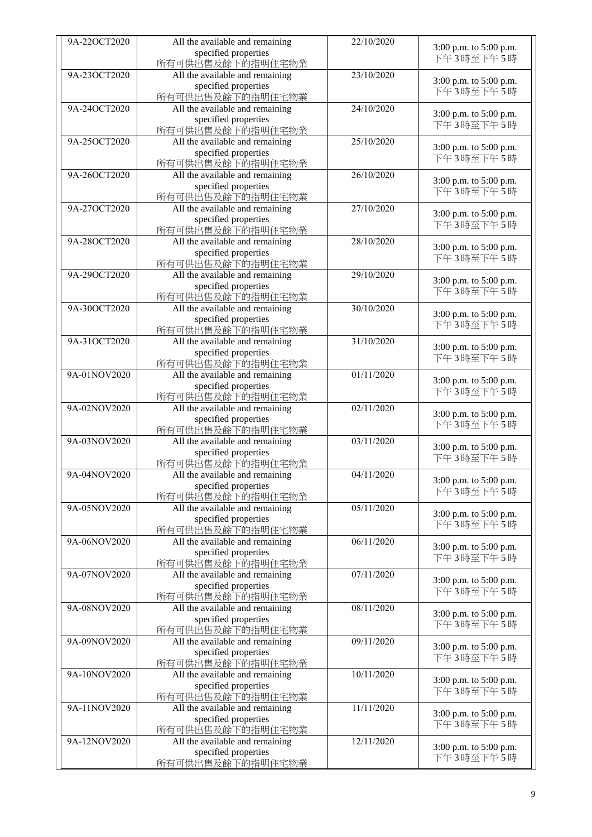| 9A-22OCT2020 | All the available and remaining | 22/10/2020 |                                     |
|--------------|---------------------------------|------------|-------------------------------------|
|              | specified properties            |            | 3:00 p.m. to 5:00 p.m.              |
|              | 所有可供出售及餘下的指明住宅物業                |            | 下午3時至下午5時                           |
| 9A-23OCT2020 | All the available and remaining | 23/10/2020 |                                     |
|              | specified properties            |            | 3:00 p.m. to 5:00 p.m.              |
|              | 所有可供出售及餘下的指明住宅物業                |            | 下午3時至下午5時                           |
| 9A-24OCT2020 | All the available and remaining | 24/10/2020 |                                     |
|              | specified properties            |            | 3:00 p.m. to 5:00 p.m.              |
|              | 所有可供出售及餘下的指明住宅物業                |            | 下午3時至下午5時                           |
| 9A-25OCT2020 | All the available and remaining | 25/10/2020 |                                     |
|              | specified properties            |            | 3:00 p.m. to 5:00 p.m.              |
|              | 所有可供出售及餘下的指明住宅物業                |            | 下午3時至下午5時                           |
| 9A-26OCT2020 | All the available and remaining | 26/10/2020 |                                     |
|              | specified properties            |            | 3:00 p.m. to 5:00 p.m.              |
|              | 所有可供出售及餘下的指明住宅物業                |            | 下午3時至下午5時                           |
| 9A-27OCT2020 |                                 | 27/10/2020 |                                     |
|              | All the available and remaining |            | 3:00 p.m. to 5:00 p.m.              |
|              | specified properties            |            | 下午3時至下午5時                           |
|              | 所有可供出售及餘下的指明住宅物業                |            |                                     |
| 9A-28OCT2020 | All the available and remaining | 28/10/2020 | 3:00 p.m. to 5:00 p.m.              |
|              | specified properties            |            | 下午3時至下午5時                           |
|              | 所有可供出售及餘下的指明住宅物業                |            |                                     |
| 9A-29OCT2020 | All the available and remaining | 29/10/2020 | 3:00 p.m. to 5:00 p.m.              |
|              | specified properties            |            | 下午3時至下午5時                           |
|              | 所有可供出售及餘下的指明住宅物業                |            |                                     |
| 9A-30OCT2020 | All the available and remaining | 30/10/2020 | 3:00 p.m. to 5:00 p.m.              |
|              | specified properties            |            | 下午3時至下午5時                           |
|              | 所有可供出售及餘下的指明住宅物業                |            |                                     |
| 9A-31OCT2020 | All the available and remaining | 31/10/2020 | 3:00 p.m. to 5:00 p.m.              |
|              | specified properties            |            | 下午3時至下午5時                           |
|              | 所有可供出售及餘下的指明住宅物業                |            |                                     |
| 9A-01NOV2020 | All the available and remaining | 01/11/2020 | 3:00 p.m. to 5:00 p.m.              |
|              | specified properties            |            | 下午3時至下午5時                           |
|              | 所有可供出售及餘下的指明住宅物業                |            |                                     |
| 9A-02NOV2020 | All the available and remaining | 02/11/2020 |                                     |
|              | specified properties            |            | 3:00 p.m. to 5:00 p.m.              |
|              | 所有可供出售及餘下的指明住宅物業                |            | 下午3時至下午5時                           |
| 9A-03NOV2020 | All the available and remaining | 03/11/2020 |                                     |
|              | specified properties            |            | 3:00 p.m. to 5:00 p.m.<br>下午3時至下午5時 |
|              | 所有可供出售及餘下的指明住宅物業                |            |                                     |
| 9A-04NOV2020 | All the available and remaining | 04/11/2020 |                                     |
|              | specified properties            |            | 3:00 p.m. to 5:00 p.m.              |
|              | 所有可供出售及餘下的指明住宅物業                |            | 下午3時至下午5時                           |
| 9A-05NOV2020 | All the available and remaining | 05/11/2020 |                                     |
|              | specified properties            |            | 3:00 p.m. to 5:00 p.m.              |
|              | 所有可供出售及餘下的指明住宅物業                |            | 下午3時至下午5時                           |
| 9A-06NOV2020 | All the available and remaining | 06/11/2020 |                                     |
|              | specified properties            |            | 3:00 p.m. to 5:00 p.m.              |
|              | 所有可供出售及餘下的指明住宅物業                |            | 下午3時至下午5時                           |
| 9A-07NOV2020 | All the available and remaining | 07/11/2020 |                                     |
|              | specified properties            |            | 3:00 p.m. to 5:00 p.m.              |
|              | 所有可供出售及餘下的指明住宅物業                |            | 下午3時至下午5時                           |
| 9A-08NOV2020 | All the available and remaining | 08/11/2020 |                                     |
|              | specified properties            |            | 3:00 p.m. to 5:00 p.m.              |
|              | 所有可供出售及餘下的指明住宅物業                |            | 下午3時至下午5時                           |
| 9A-09NOV2020 | All the available and remaining | 09/11/2020 |                                     |
|              | specified properties            |            | 3:00 p.m. to 5:00 p.m.              |
|              | 所有可供出售及餘下的指明住宅物業                |            | 下午3時至下午5時                           |
| 9A-10NOV2020 | All the available and remaining | 10/11/2020 |                                     |
|              |                                 |            | 3:00 p.m. to 5:00 p.m.              |
|              | specified properties            |            | 下午3時至下午5時                           |
|              | 所有可供出售及餘下的指明住宅物業                |            |                                     |
| 9A-11NOV2020 | All the available and remaining | 11/11/2020 | 3:00 p.m. to 5:00 p.m.              |
|              | specified properties            |            | 下午3時至下午5時                           |
|              | 所有可供出售及餘下的指明住宅物業                |            |                                     |
| 9A-12NOV2020 | All the available and remaining | 12/11/2020 | 3:00 p.m. to 5:00 p.m.              |
|              | specified properties            |            | 下午3時至下午5時                           |
|              | 所有可供出售及餘下的指明住宅物業                |            |                                     |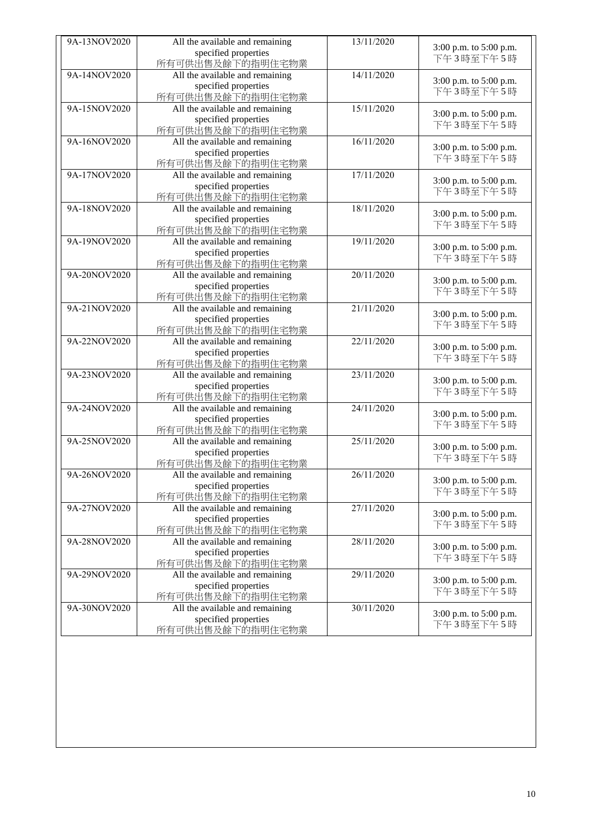| 9A-13NOV2020 | All the available and remaining | 13/11/2020 |                                     |
|--------------|---------------------------------|------------|-------------------------------------|
|              | specified properties            |            | 3:00 p.m. to 5:00 p.m.              |
|              | 所有可供出售及餘下的指明住宅物業                |            | 下午3時至下午5時                           |
| 9A-14NOV2020 | All the available and remaining | 14/11/2020 |                                     |
|              | specified properties            |            | 3:00 p.m. to 5:00 p.m.              |
|              | 所有可供出售及餘下的指明住宅物業                |            | 下午3時至下午5時                           |
| 9A-15NOV2020 | All the available and remaining | 15/11/2020 |                                     |
|              | specified properties            |            | 3:00 p.m. to 5:00 p.m.              |
|              | 所有可供出售及餘下的指明住宅物業                |            | 下午3時至下午5時                           |
| 9A-16NOV2020 | All the available and remaining | 16/11/2020 |                                     |
|              | specified properties            |            | 3:00 p.m. to 5:00 p.m.              |
|              | 所有可供出售及餘下的指明住宅物業                |            | 下午3時至下午5時                           |
| 9A-17NOV2020 |                                 | 17/11/2020 |                                     |
|              | All the available and remaining |            | 3:00 p.m. to 5:00 p.m.              |
|              | specified properties            |            | 下午3時至下午5時                           |
|              | 所有可供出售及餘下的指明住宅物業                |            |                                     |
| 9A-18NOV2020 | All the available and remaining | 18/11/2020 | 3:00 p.m. to 5:00 p.m.              |
|              | specified properties            |            | 下午3時至下午5時                           |
|              | 所有可供出售及餘下的指明住宅物業                |            |                                     |
| 9A-19NOV2020 | All the available and remaining | 19/11/2020 | 3:00 p.m. to 5:00 p.m.              |
|              | specified properties            |            | 下午3時至下午5時                           |
|              | 所有可供出售及餘下的指明住宅物業                |            |                                     |
| 9A-20NOV2020 | All the available and remaining | 20/11/2020 | 3:00 p.m. to 5:00 p.m.              |
|              | specified properties            |            | 下午3時至下午5時                           |
|              | 所有可供出售及餘下的指明住宅物業                |            |                                     |
| 9A-21NOV2020 | All the available and remaining | 21/11/2020 | 3:00 p.m. to 5:00 p.m.              |
|              | specified properties            |            | 下午3時至下午5時                           |
|              | 所有可供出售及餘下的指明住宅物業                |            |                                     |
| 9A-22NOV2020 | All the available and remaining | 22/11/2020 | 3:00 p.m. to 5:00 p.m.              |
|              | specified properties            |            | 下午3時至下午5時                           |
|              | 所有可供出售及餘下的指明住宅物業                |            |                                     |
| 9A-23NOV2020 | All the available and remaining | 23/11/2020 |                                     |
|              | specified properties            |            | 3:00 p.m. to 5:00 p.m.<br>下午3時至下午5時 |
|              | 所有可供出售及餘下的指明住宅物業                |            |                                     |
| 9A-24NOV2020 | All the available and remaining | 24/11/2020 |                                     |
|              | specified properties            |            | 3:00 p.m. to 5:00 p.m.              |
|              | 所有可供出售及餘下的指明住宅物業                |            | 下午3時至下午5時                           |
| 9A-25NOV2020 | All the available and remaining | 25/11/2020 |                                     |
|              | specified properties            |            | 3:00 p.m. to 5:00 p.m.              |
|              | 所有可供出售及餘下的指明住宅物業                |            | 下午3時至下午5時                           |
| 9A-26NOV2020 | All the available and remaining | 26/11/2020 |                                     |
|              | specified properties            |            | 3:00 p.m. to 5:00 p.m.              |
|              | 所有可供出售及餘下的指明住宅物業                |            | 下午3時至下午5時                           |
| 9A-27NOV2020 | All the available and remaining | 27/11/2020 |                                     |
|              | specified properties            |            | 3:00 p.m. to 5:00 p.m.              |
|              | 所有可供出售及餘下的指明住宅物業                |            | 下午3時至下午5時                           |
| 9A-28NOV2020 | All the available and remaining | 28/11/2020 |                                     |
|              | specified properties            |            | 3:00 p.m. to 5:00 p.m.              |
|              | 所有可供出售及餘下的指明住宅物業                |            | 下午3時至下午5時                           |
| 9A-29NOV2020 | All the available and remaining | 29/11/2020 |                                     |
|              | specified properties            |            | 3:00 p.m. to 5:00 p.m.              |
|              | 所有可供出售及餘下的指明住宅物業                |            | 下午3時至下午5時                           |
| 9A-30NOV2020 | All the available and remaining | 30/11/2020 |                                     |
|              | specified properties            |            | 3:00 p.m. to 5:00 p.m.              |
|              | 所有可供出售及餘下的指明住宅物業                |            | 下午3時至下午5時                           |
|              |                                 |            |                                     |